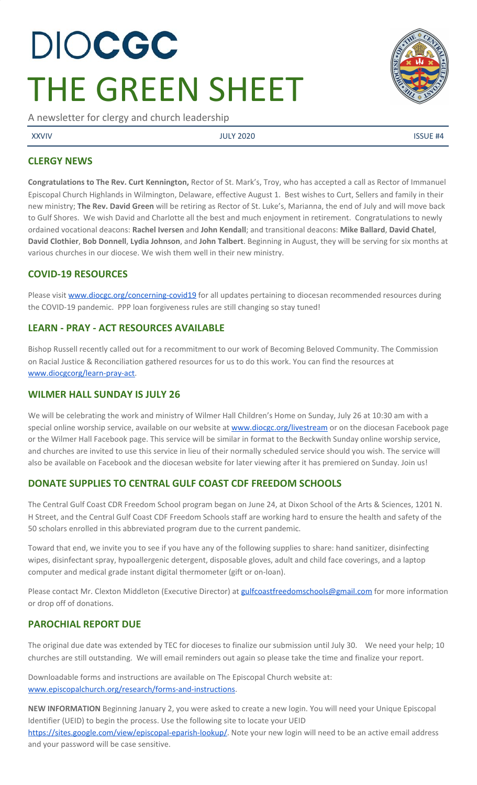# DIOCGC THE GREEN SHEET

A newsletter for clergy and church leadership

XXVIV JULY 2020 ISSUE #4

## **CLERGY NEWS**

**Congratulations to The Rev. Curt Kennington,** Rector of St. Mark's, Troy, who has accepted a call as Rector of Immanuel Episcopal Church Highlands in Wilmington, Delaware, effective August 1. Best wishes to Curt, Sellers and family in their new ministry; **The Rev. David Green** will be retiring as Rector of St. Luke's, Marianna, the end of July and will move back to Gulf Shores. We wish David and Charlotte all the best and much enjoyment in retirement. Congratulations to newly ordained vocational deacons: **Rachel Iversen** and **John Kendall**; and transitional deacons: **Mike Ballard**, **David Chatel**, **David Clothier**, **Bob Donnell**, **Lydia Johnson**, and **John Talbert**. Beginning in August, they will be serving for six months at various churches in our diocese. We wish them well in their new ministry.

## **COVID-19 RESOURCES**

Please visit [www.diocgc.org/concerning-covid19](http://www.diocgc.org/concerning-covid19) for all updates pertaining to diocesan recommended resources during the COVID-19 pandemic. PPP loan forgiveness rules are still changing so stay tuned!

# **LEARN - PRAY - ACT RESOURCES AVAILABLE**

Bishop Russell recently called out for a recommitment to our work of Becoming Beloved Community. The Commission on Racial Justice & Reconciliation gathered resources for us to do this work. You can find the resources at [www.diocgcorg/learn-pray-act.](http://www.diocgcorg/learn-pray-act)

# **WILMER HALL SUNDAY IS JULY 26**

We will be celebrating the work and ministry of Wilmer Hall Children's Home on Sunday, July 26 at 10:30 am with a special online worship service, available on our website at [www.diocgc.org/livestream](http://www.diocgc.org/livestream) or on the diocesan Facebook page or the Wilmer Hall Facebook page. This service will be similar in format to the Beckwith Sunday online worship service, and churches are invited to use this service in lieu of their normally scheduled service should you wish. The service will also be available on Facebook and the diocesan website for later viewing after it has premiered on Sunday. Join us!

# **DONATE SUPPLIES TO CENTRAL GULF COAST CDF FREEDOM SCHOOLS**

The Central Gulf Coast CDR Freedom School program began on June 24, at Dixon School of the Arts & Sciences, 1201 N. H Street, and the Central Gulf Coast CDF Freedom Schools staff are working hard to ensure the health and safety of the 50 scholars enrolled in this abbreviated program due to the current pandemic.

Toward that end, we invite you to see if you have any of the following supplies to share: hand sanitizer, disinfecting wipes, disinfectant spray, hypoallergenic detergent, disposable gloves, adult and child face coverings, and a laptop computer and medical grade instant digital thermometer (gift or on-loan).

Please contact Mr. Clexton Middleton (Executive Director) at [gulfcoastfreedomschools@gmail.com](mailto:gulfcoastfreedomschools@gmail.com) for more information or drop off of donations.

# **PAROCHIAL REPORT DUE**

The original due date was extended by TEC for dioceses to finalize our submission until July 30. We need your help; 10 churches are still outstanding. We will email reminders out again so please take the time and finalize your report.

Downloadable forms and instructions are available on The Episcopal Church website at: [www.episcopalchurch.org/research/forms-and-instructions.](http://www.episcopalchurch.org/research/forms-and-instructions)

**NEW INFORMATION** Beginning January 2, you were asked to create a new login. You will need your Unique Episcopal Identifier (UEID) to begin the process. Use the following site to locate your UEID [https://sites.google.com/view/episcopal-eparish-lookup/.](https://sites.google.com/view/episcopal-eparish-lookup/) Note your new login will need to be an active email address and your password will be case sensitive.

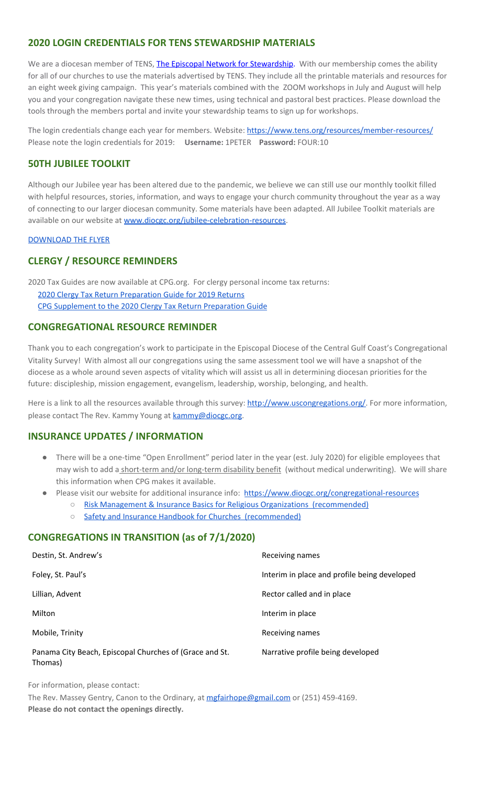## **2020 LOGIN CREDENTIALS FOR TENS STEWARDSHIP MATERIALS**

We are a diocesan member of TENS, [The Episcopal Network for Stewardship](http://r20.rs6.net/tn.jsp?f=0012pqt_t4bfTKnRF8Xmufb-M4Ry8JkNpVzuf-DfMr466n2fJlrEabEgWXavWDn2Hx3i5ph5cMsQu0KkvBM2IIao7IcazXgBLtGdZrXLuo4poO7i2eq_EiuExGDSC-wd1a3AjKcDRDPj18=&c=9_JBIUfw9Y9WIzA02dVBmW_Dc5eF3SbOEA5-vLB-MbLj0nQWfaMvNg==&ch=bNQQUmRhILUjCbu1RkHCQ0rqqsD1-RBYprcIQ3NuhLlaKPcsXS1TyQ==). With our membership comes the ability for all of our churches to use the materials advertised by TENS. They include all the printable materials and resources for an eight week giving campaign. This year's materials combined with the ZOOM workshops in July and August will help you and your congregation navigate these new times, using technical and pastoral best practices. Please download the tools through the members portal and invite your stewardship teams to sign up for workshops.

The login credentials change each year for members. Website: <https://www.tens.org/resources/member-resources/> Please note the login credentials for 2019: **Username:** 1PETER **Password:** FOUR:10

#### **50TH JUBILEE TOOLKIT**

Although our Jubilee year has been altered due to the pandemic, we believe we can still use our monthly toolkit filled with helpful resources, stories, information, and ways to engage your church community throughout the year as a way of connecting to our larger diocesan community. Some materials have been adapted. All Jubilee Toolkit materials are available on our website at [www.diocgc.org/jubilee-celebration-resources.](http://www.diocgc.org/jubilee-celebration-resources)

#### [DOWNLOAD THE FLYER](https://drive.google.com/file/d/105lyVxayb2fJSkYq9BolKFRXZu-UhXKU/view?usp=sharing)

## **CLERGY / RESOURCE REMINDERS**

2020 Tax Guides are now available at CPG.org. For clergy personal income tax returns: [2020 Clergy Tax Return Preparation Guide for 2019 Returns](https://www.cpg.org/linkservid/D998735C-CE21-6189-EB815B133ECD868A/showMeta/0/?label=2020%20Clergy%20Tax%20Return%20Preparation%20Guide%20for%202019%20Tax%20Returns) [CPG Supplement to the 2020 Clergy Tax Return Preparation Guide](https://www.cpg.org/linkservid/DA0301BC-D8CF-06D3-C4C6BAB106394432/showMeta/0/?label=Supplement%20to%20the%202020%20Clergy%20Tax%20Return%20Preparation%20Guide%20for%202019%20Returns)

#### **CONGREGATIONAL RESOURCE REMINDER**

Thank you to each congregation's work to participate in the Episcopal Diocese of the Central Gulf Coast's Congregational Vitality Survey! With almost all our congregations using the same assessment tool we will have a snapshot of the diocese as a whole around seven aspects of vitality which will assist us all in determining diocesan priorities for the future: discipleship, mission engagement, evangelism, leadership, worship, belonging, and health.

Here is a link to all the resources available through this survey: [http://www.uscongregations.org/.](http://www.uscongregations.org/) For more information, please contact The Rev. Kammy Young at [kammy@diocgc.org](mailto:kammy@diocgc.org).

## **INSURANCE UPDATES / INFORMATION**

- There will be a one-time "Open Enrollment" period later in the year (est. July 2020) for eligible employees that may wish to add a short-term and/or long-term disability benefit (without medical underwriting). We will share this information when CPG makes it available.
- Please visit our website for additional insurance info: <https://www.diocgc.org/congregational-resources>
	- [Risk Management & Insurance Basics for Religious Organizations \(recommended\)](https://2f23db9c-81c0-437f-88c1-0d3b99fdb03d.filesusr.com/ugd/ca270f_0fc945a39bad470191c4075c97602c08.pdf)
	- [Safety and Insurance Handbook for Churches \(recommended\)](https://2f23db9c-81c0-437f-88c1-0d3b99fdb03d.filesusr.com/ugd/4525a9_6b89020a60b040f49e2f7feb44b56873.pdf)

#### **CONGREGATIONS IN TRANSITION (as of 7/1/2020)**

| Destin, St. Andrew's                                               | Receiving names                              |  |
|--------------------------------------------------------------------|----------------------------------------------|--|
| Foley, St. Paul's                                                  | Interim in place and profile being developed |  |
| Lillian, Advent                                                    | Rector called and in place                   |  |
| Milton                                                             | Interim in place                             |  |
| Mobile, Trinity                                                    | Receiving names                              |  |
| Panama City Beach, Episcopal Churches of (Grace and St.<br>Thomas) | Narrative profile being developed            |  |

For information, please contact:

The Rev. Massey Gentry, Canon to the Ordinary, at [mgfairhope@gmail.com](mailto:mgfairhope@gmail.com) or (251) 459-4169. **Please do not contact the openings directly.**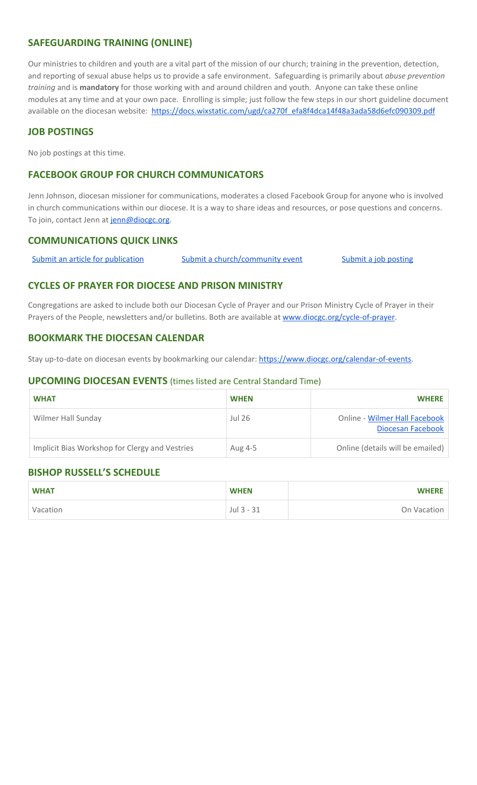## **SAFEGUARDING TRAINING (ONLINE)**

Our ministries to children and youth are a vital part of the mission of our church; training in the prevention, detection, and reporting of sexual abuse helps us to provide a safe environment. Safeguarding is primarily about *abuse prevention training* and is **mandatory** for those working with and around children and youth. Anyone can take these online modules at any time and at your own pace. Enrolling is simple; just follow the few steps in our short guideline document available on the diocesan website: [https://docs.wixstatic.com/ugd/ca270f\\_efa8f4dca14f48a3ada58d6efc090309.pdf](https://docs.wixstatic.com/ugd/ca270f_efa8f4dca14f48a3ada58d6efc090309.pdf)

# **JOB POSTINGS**

No job postings at this time.

# **FACEBOOK GROUP FOR CHURCH COMMUNICATORS**

Jenn Johnson, diocesan missioner for communications, moderates a closed Facebook Group for anyone who is involved in church communications within our diocese. It is a way to share ideas and resources, or pose questions and concerns. To join, contact Jenn at [jenn@diocgc.org.](mailto:jenn@diocgc.org)

## **COMMUNICATIONS QUICK LINKS**

Submit an article for [publication](http://www.emailmeform.com/builder/form/XqOP984Ae60c8m6ynr) Submit a [church/community](http://www.emailmeform.com/builder/form/eOM4Bb6VTb78y20Wrapf8) event Submit a job [posting](https://www.emailmeform.com/builder/form/0cZqC653GdH24p01aWQDfUh)

#### **CYCLES OF PRAYER FOR DIOCESE AND PRISON MINISTRY**

Congregations are asked to include both our Diocesan Cycle of Prayer and our Prison Ministry Cycle of Prayer in their Prayers of the People, newsletters and/or bulletins. Both are available at [www.diocgc.org/cycle-of-prayer.](http://www.diocgc.org/cycle-of-prayer)

#### **BOOKMARK THE DIOCESAN CALENDAR**

Stay up-to-date on diocesan events by bookmarking our calendar: [https://www.diocgc.org/calendar-of-events.](https://www.diocgc.org/calendar-of-events)

#### **UPCOMING DIOCESAN EVENTS** (times listed are Central Standard Time)

| <b>WHAT</b>                                    | <b>WHEN</b> | <b>WHERE</b>                                       |
|------------------------------------------------|-------------|----------------------------------------------------|
| Wilmer Hall Sunday                             | Jul 26      | Online - Wilmer Hall Facebook<br>Diocesan Facebook |
| Implicit Bias Workshop for Clergy and Vestries | Aug 4-5     | Online (details will be emailed)                   |

## **BISHOP RUSSELL'S SCHEDULE**

| <b>WHAT</b> | <b>WHEN</b> | <b>WHERE</b> |
|-------------|-------------|--------------|
| Vacation    | Jul 3 - 31  | On Vacation  |